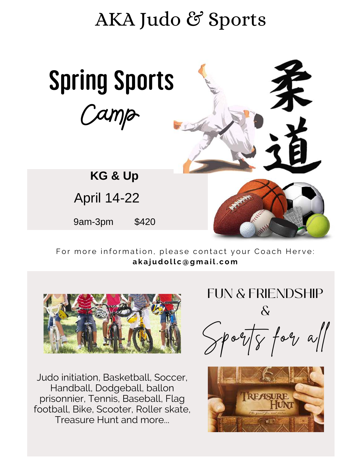# AKA Judo & Sports



For more information, please contact your Coach Herve: akajudollc@gmail.com



Judo initiation, Basketball, Soccer, Handball, Dodgeball, ballon prisonnier, Tennis, Baseball, Flag football, Bike, Scooter, Roller skate, Treasure Hunt and more...



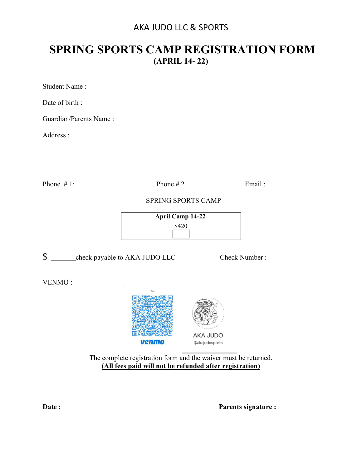## AKA JUDO LLC & SPORTS

## **SPRING SPORTS CAMP REGISTRATION FORM (APRIL 14- 22)**

Student Name :

Date of birth :

Guardian/Parents Name :

Address :

Phone  $\# 1$ : Phone  $\# 2$  Email :

## SPRING SPORTS CAMP

 **April Camp 14-22**  \$420

 $\$  \_\_\_\_\_\_\_\_check payable to AKA JUDO LLC Check Number :

VENMO :



The complete registration form and the waiver must be returned. **(All fees paid will not be refunded after registration)** 

**Date :** Parents signature :